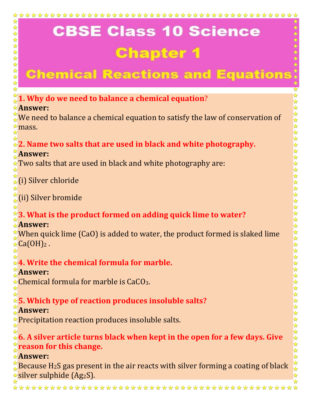# **Chemical Reactions and Equation:**

#### $\stackrel{\leftrightarrow}{\downarrow}$  **1. Why do we need to balance a chemical equation?**

#### **Answer:**

☆

 $\frac{1}{\sqrt{2}}$ 

\*\*\*\*\*\*\*\*\*

 $\blacktriangle$ 

We need to balance a chemical equation to satisfy the law of conservation of  $\approx$ mass.

### **2. Name two salts that are used in black and white photography.**

#### **Answer:**

 $\star$  Two salts that are used in black and white photography are:

☆(i) Silver chloride

(ii) Silver bromide

## **3. What is the product formed on adding quick lime to water?**

#### **Answer:**

When quick lime (CaO) is added to water, the product formed is slaked lime  $\angle$ Ca(OH)<sub>2</sub>.

## **4. Write the chemical formula for marble.**

#### **Answer:**

 $\mathcal{L}$ Chemical formula for marble is CaCO<sub>3</sub>.

## **5. Which type of reaction produces insoluble salts?**

#### **Answer:**

**★Precipitation reaction produces insoluble salts.** 

**6. A silver article turns black when kept in the open for a few days. Give reason for this change.**

#### **Answer:**

Because  $H_2S$  gas present in the air reacts with silver forming a coating of black  $\star$  silver sulphide (Ag<sub>2</sub>S).

\*\*\*\*\*\*\*\*\*\*\*\*\*\*\*